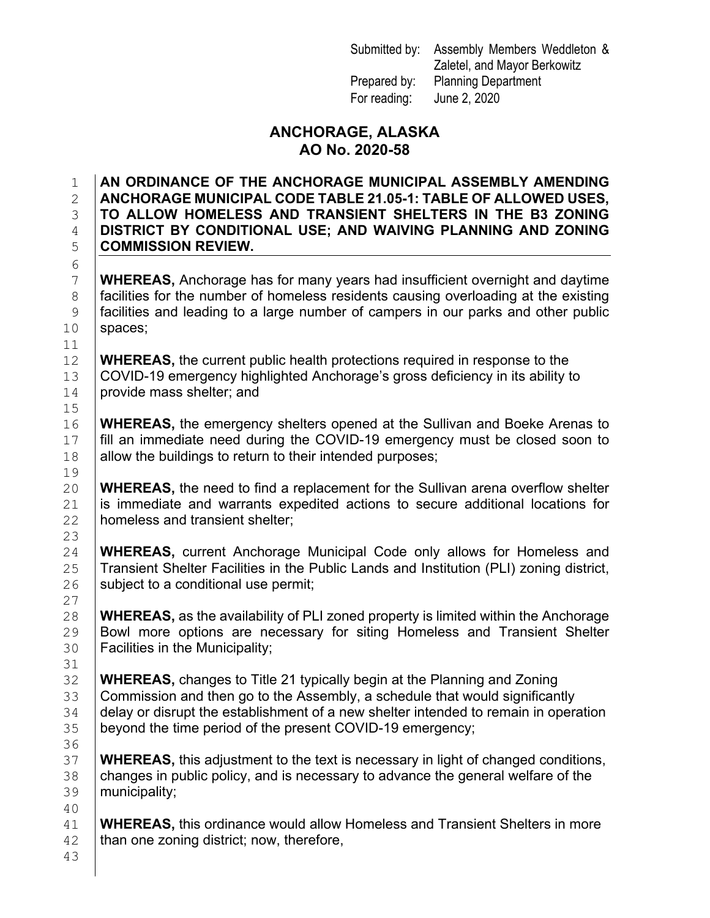Submitted by: Assembly Members Weddleton & Zaletel, and Mayor Berkowitz Prepared by: Planning Department For reading: June 2, 2020

## **ANCHORAGE, ALASKA AO No. 2020-58**

#### 1 **AN ORDINANCE OF THE ANCHORAGE MUNICIPAL ASSEMBLY AMENDING**  2 **ANCHORAGE MUNICIPAL CODE TABLE 21.05-1: TABLE OF ALLOWED USES,**  3 **TO ALLOW HOMELESS AND TRANSIENT SHELTERS IN THE B3 ZONING**  4 **DISTRICT BY CONDITIONAL USE; AND WAIVING PLANNING AND ZONING**  5 **COMMISSION REVIEW.**

7 **WHEREAS,** Anchorage has for many years had insufficient overnight and daytime<br>8 facilities for the number of homeless residents causing overloading at the existing 8 facilities for the number of homeless residents causing overloading at the existing<br>9 facilities and leading to a large number of campers in our parks and other public facilities and leading to a large number of campers in our parks and other public  $10$  spaces;

**WHEREAS, the current public health protections required in response to the**  $13$  COVID-19 emergency highlighted Anchorage's gross deficiency in its ability to 13 COVID-19 emergency highlighted Anchorage's gross deficiency in its ability to provide mass shelter; and provide mass shelter; and

16 **WHEREAS,** the emergency shelters opened at the Sullivan and Boeke Arenas to fill an immediate need during the COVID-19 emergency must be closed soon to 17  $\parallel$  fill an immediate need during the COVID-19 emergency must be closed soon to allow the buildings to return to their intended purposes; allow the buildings to return to their intended purposes;

20 **WHEREAS**, the need to find a replacement for the Sullivan arena overflow shelter 21 is immediate and warrants expedited actions to secure additional locations for 21 is immediate and warrants expedited actions to secure additional locations for  $22$  homeless and transient shelter: homeless and transient shelter;

24 **WHEREAS, current Anchorage Municipal Code only allows for Homeless and <br>25 Transient Shelter Facilities in the Public Lands and Institution (PLI) zoning district,** 25 Transient Shelter Facilities in the Public Lands and Institution (PLI) zoning district,  $26$  subject to a conditional use permit; subject to a conditional use permit;

28 **WHEREAS, as the availability of PLI zoned property is limited within the Anchorage<br>29 <b>Bowl more options are necessary for siting Homeless and Transient Shelter** 29 Bowl more options are necessary for siting Homeless and Transient Shelter 30 Facilities in the Municipality; Facilities in the Municipality;

**WHEREAS,** changes to Title 21 typically begin at the Planning and Zoning<br>33 Commission and then go to the Assembly, a schedule that would significan Commission and then go to the Assembly, a schedule that would significantly 34 delay or disrupt the establishment of a new shelter intended to remain in operation<br>35 bevond the time period of the present COVID-19 emergency: beyond the time period of the present COVID-19 emergency;

**WHEREAS,** this adjustment to the text is necessary in light of changed conditions,  $\overline{38}$  changes in public policy, and is necessary to advance the general welfare of the 38 changes in public policy, and is necessary to advance the general welfare of the denominality: municipality;

41 **WHEREAS,** this ordinance would allow Homeless and Transient Shelters in more <br>42 **than one zoning district**; now, therefore, than one zoning district; now, therefore,

23  $\begin{array}{c} 27 \\ 28 \end{array}$ 31 36<br>37 40

43

6<br>7

 $\begin{array}{c} 11 \\ 12 \end{array}$ 

 $15$ <br> $16$ 

19<br>20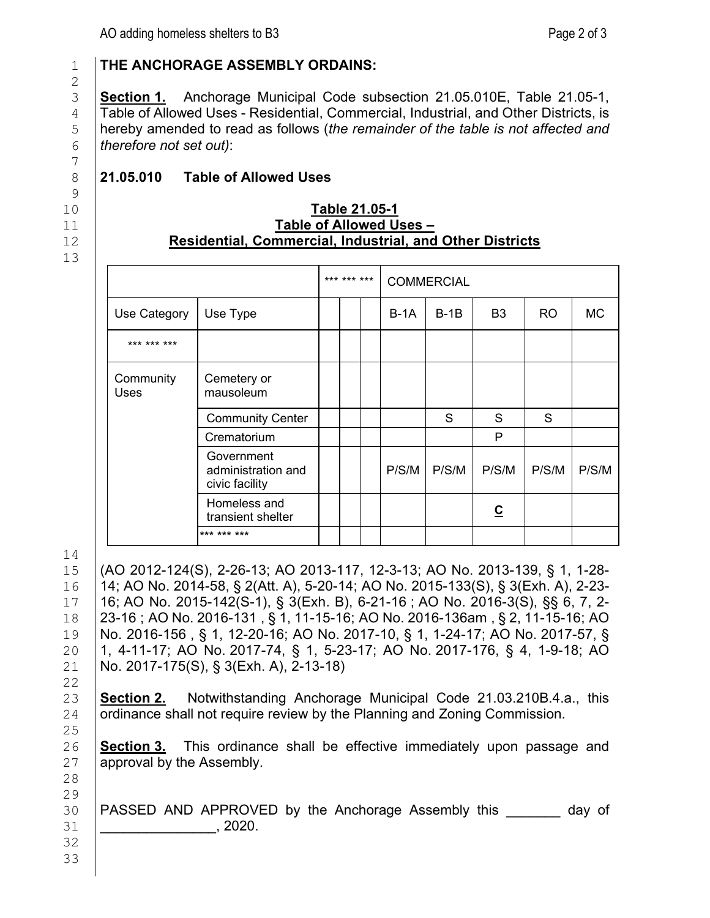$\frac{2}{3}$ 7  $\begin{array}{c} 9 \\ 10 \end{array}$ 

13

## 1 **THE ANCHORAGE ASSEMBLY ORDAINS:**

**Section 1.** Anchorage Municipal Code subsection 21.05.010E, Table 21.05-1, <br>4 Table of Allowed Uses - Residential, Commercial, Industrial, and Other Districts, is 4 Table of Allowed Uses - Residential, Commercial, Industrial, and Other Districts, is<br>bereby amended to read as follows (the remainder of the table is not affected and hereby amended to read as follows (*the remainder of the table is not affected and therefore not set out)*:

# 8 **21.05.010 Table of Allowed Uses**

#### 10 **Table 21.05-1** 11 **Table of Allowed Uses –** 12 **Residential, Commercial, Industrial, and Other Districts**

|                   |                                                    | *** *** *** |             | <b>COMMERCIAL</b> |                |       |       |
|-------------------|----------------------------------------------------|-------------|-------------|-------------------|----------------|-------|-------|
| Use Category      | Use Type                                           |             | <b>B-1A</b> | $B-1B$            | B3             | RO    | MC.   |
| *** *** ***       |                                                    |             |             |                   |                |       |       |
| Community<br>Uses | Cemetery or<br>mausoleum                           |             |             |                   |                |       |       |
|                   | <b>Community Center</b>                            |             |             | S                 | S.             | S     |       |
|                   | Crematorium                                        |             |             |                   | P              |       |       |
|                   | Government<br>administration and<br>civic facility |             | P/S/M       | P/S/M             | P/S/M          | P/S/M | P/S/M |
|                   | Homeless and<br>transient shelter                  |             |             |                   | $\overline{c}$ |       |       |
|                   | *** *** ***                                        |             |             |                   |                |       |       |

 $\frac{14}{15}$ 

22<br>23

25<br>26

 (AO 2012-124(S), 2-26-13; AO 2013-117, 12-3-13; AO No. 2013-139, § 1, 1-28- 14; AO No. 2014-58, § 2(Att. A), 5-20-14; [AO No. 2015-133\(S\), § 3\(Exh. A\), 2-23-](https://library.municode.com/ak/anchorage/ordinances/code_of_ordinances?nodeId=777515) [16;](https://library.municode.com/ak/anchorage/ordinances/code_of_ordinances?nodeId=777515) [AO No. 2015-142\(S-1\), § 3\(Exh. B\), 6-21-16](https://library.municode.com/ak/anchorage/ordinances/code_of_ordinances?nodeId=776988) ; [AO No. 2016-3\(S\), §§ 6, 7, 2-](https://library.municode.com/ak/anchorage/ordinances/code_of_ordinances?nodeId=763923) [23-16](https://library.municode.com/ak/anchorage/ordinances/code_of_ordinances?nodeId=763923) ; [AO No. 2016-131](https://library.municode.com/ak/anchorage/ordinances/code_of_ordinances?nodeId=800932) , § 1, 11-15-16; [AO No. 2016-136am](https://library.municode.com/ak/anchorage/ordinances/code_of_ordinances?nodeId=800933) , § 2, 11-15-16; [AO](https://library.municode.com/ak/anchorage/ordinances/code_of_ordinances?nodeId=807981)  [No. 2016-156](https://library.municode.com/ak/anchorage/ordinances/code_of_ordinances?nodeId=807981) , § 1, 12-20-16; AO No. [2017-10,](https://library.municode.com/ak/anchorage/ordinances/code_of_ordinances?nodeId=812302) § 1, 1-24-17; AO No. [2017-57,](https://library.municode.com/ak/anchorage/ordinances/code_of_ordinances?nodeId=825381) § 20 1, 4-11-17; AO No. [2017-74,](https://library.municode.com/ak/anchorage/ordinances/code_of_ordinances?nodeId=842183) § 1, 5-23-17; AO No. [2017-176,](https://library.municode.com/ak/anchorage/ordinances/code_of_ordinances?nodeId=872570) § 4, 1-9-18; AO  $\overline{21}$  No. 2017-175(S), § 3(Exh. A), 2-13-18) No. [2017-175\(S\),](https://library.municode.com/ak/anchorage/ordinances/code_of_ordinances?nodeId=899002) § 3(Exh. A), 2-13-18)

23 **Section 2.** Notwithstanding Anchorage Municipal Code 21.03.210B.4.a., this 24 **ordinance shall not require review by the Planning and Zoning Commission.** ordinance shall not require review by the Planning and Zoning Commission.

26 **Section 3.** This ordinance shall be effective immediately upon passage and 27 **a** approval by the Assembly. approval by the Assembly.

28 29<br>30

> 32 33

PASSED AND APPROVED by the Anchorage Assembly this day of 31 \_\_\_\_\_\_\_\_\_\_\_\_\_\_\_, 2020.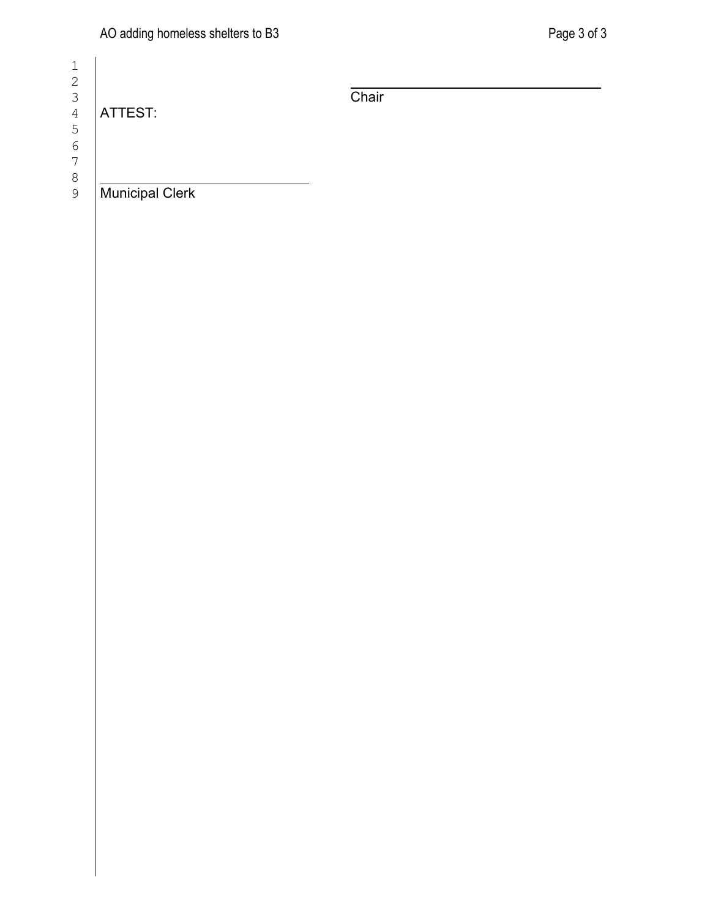| 2 |
|---|
| З |
| 4 |
| 5 |
| 6 |
| 7 |
| 8 |
| 1 |

| ATTEST:                | Chair |  |
|------------------------|-------|--|
| <b>Municipal Clerk</b> |       |  |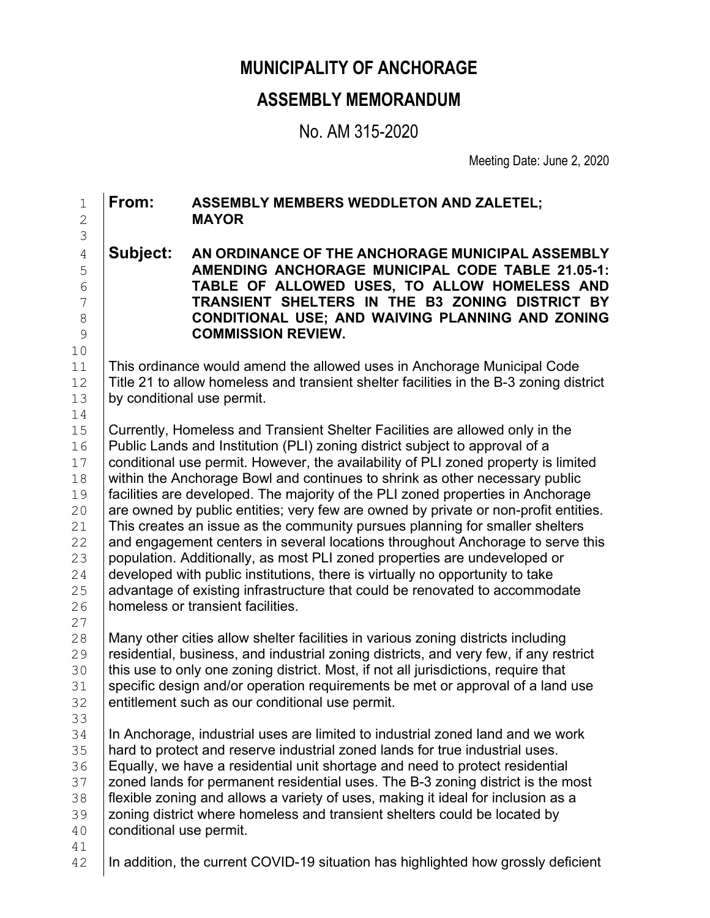# **MUNICIPALITY OF ANCHORAGE**

# **ASSEMBLY MEMORANDUM**

No. AM 315-2020

Meeting Date: June 2, 2020

1 **From: ASSEMBLY MEMBERS WEDDLETON AND ZALETEL;** 2 **MAYOR** 3 4 **Subject: AN ORDINANCE OF THE ANCHORAGE MUNICIPAL ASSEMBLY**  5 **AMENDING ANCHORAGE MUNICIPAL CODE TABLE 21.05-1:** 6 **TABLE OF ALLOWED USES, TO ALLOW HOMELESS AND**  7 **TRANSIENT SHELTERS IN THE B3 ZONING DISTRICT BY**  8 **CONDITIONAL USE; AND WAIVING PLANNING AND ZONING**  9 **COMMISSION REVIEW.** 10<br>11 11 This ordinance would amend the allowed uses in Anchorage Municipal Code<br>12 Title 21 to allow homeless and transient shelter facilities in the B-3 zoning dis 12  $\mid$  Title 21 to allow homeless and transient shelter facilities in the B-3 zoning district 13 by conditional use permit. by conditional use permit.  $\begin{array}{c} 14 \\ 15 \end{array}$ 15 Currently, Homeless and Transient Shelter Facilities are allowed only in the 16 Public Lands and Institution (PLI) zoning district subject to approval of a 16 Public Lands and Institution (PLI) zoning district subject to approval of a<br>17 Conditional use permit. However, the availability of PLI zoned property is 17 Conditional use permit. However, the availability of PLI zoned property is limited<br>18 Within the Anchorage Bowl and continues to shrink as other necessary public 18 within the Anchorage Bowl and continues to shrink as other necessary public<br>19 facilities are developed. The maiority of the PLI zoned properties in Anchorago 19 facilities are developed. The majority of the PLI zoned properties in Anchorage<br>20 are owned by public entities: very few are owned by private or non-profit entities 20  $\parallel$  are owned by public entities; very few are owned by private or non-profit entities.<br>21 This creates an issue as the community pursues planning for smaller shelters 21 This creates an issue as the community pursues planning for smaller shelters<br>22 and engagement centers in several locations throughout Anchorage to serve to 22 and engagement centers in several locations throughout Anchorage to serve this <br>23 population. Additionally, as most PLI zoned properties are undeveloped or 23 population. Additionally, as most PLI zoned properties are undeveloped or <br>24 developed with public institutions, there is virtually no opportunity to take 24 developed with public institutions, there is virtually no opportunity to take<br>25 dedicator desisting infrastructure that could be renovated to accommod 25 advantage of existing infrastructure that could be renovated to accommodate homeless or transient facilities. homeless or transient facilities.  $\frac{27}{28}$ 28 Many other cities allow shelter facilities in various zoning districts including<br>29 Tresidential, business, and industrial zoning districts, and very few, if any res 29 residential, business, and industrial zoning districts, and very few, if any restrict<br>30 this use to only one zoning district. Most, if not all iurisdictions, require that 30 this use to only one zoning district. Most, if not all jurisdictions, require that <br>31 specific design and/or operation requirements be met or approval of a land 31 specific design and/or operation requirements be met or approval of a land use<br>32 entitlement such as our conditional use permit. entitlement such as our conditional use permit. 33<br>34 34 In Anchorage, industrial uses are limited to industrial zoned land and we work<br>35 Inard to protect and reserve industrial zoned lands for true industrial uses 35 hard to protect and reserve industrial zoned lands for true industrial uses.<br>36 Equally, we have a residential unit shortage and need to protect residential 36 Equally, we have a residential unit shortage and need to protect residential<br>37 Expediences for permanent residential uses. The B-3 zoning district is the m 37 | zoned lands for permanent residential uses. The B-3 zoning district is the most 38 | flexible zoning and allows a variety of uses, making it ideal for inclusion as a flexible zoning and allows a variety of uses, making it ideal for inclusion as a 39 | zoning district where homeless and transient shelters could be located by <br>40 | conditional use permit. conditional use permit.

41<br>42

In addition, the current COVID-19 situation has highlighted how grossly deficient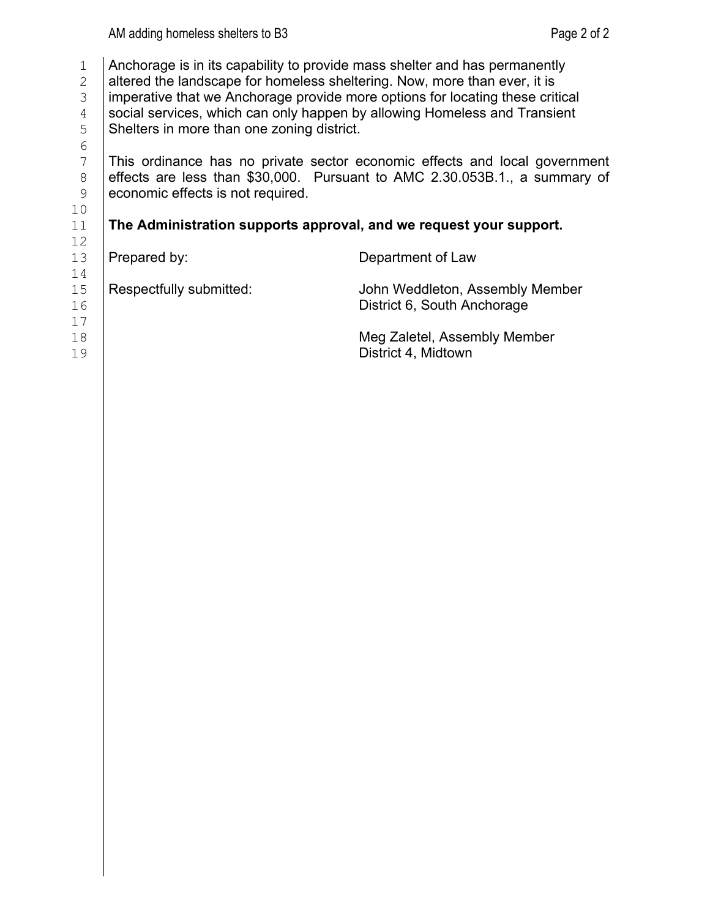- 1 Anchorage is in its capability to provide mass shelter and has permanently altered the landscape for homeless sheltering. Now, more than ever, it is
- 
- 2 altered the landscape for homeless sheltering. Now, more than ever, it is<br>3 Imperative that we Anchorage provide more options for locating these crit 3 imperative that we Anchorage provide more options for locating these critical<br>4 social services, which can only happen by allowing Homeless and Transient
- 4 Social services, which can only happen by allowing Homeless and Transient<br>5 Shelters in more than one zoning district. 5 Shelters in more than one zoning district.

11 **The Administration supports approval, and we request your support.** 

6<br>7

7 This ordinance has no private sector economic effects and local government<br>8 effects are less than \$30,000. Pursuant to AMC 2.30.053B.1., a summary of 8 effects are less than \$30,000. Pursuant to AMC 2.30.053B.1., a summary of economic effects is not required. economic effects is not required.

# 10<br>11

- 
- $\begin{array}{c} 12 \\ 13 \end{array}$
- 

# Prepared by: Department of Law

 $\frac{14}{15}$ 

- 
- $\begin{array}{c} 17 \\ 18 \end{array}$
- 
- 
- 
- 15 Respectfully submitted: John Weddleton, Assembly Member<br>16 **Respectfully submitted:** District 6, South Anchorage District 6, South Anchorage
- 18 **Meg Zaletel, Assembly Member**<br>19 **Meg Zaletel, Assembly Member** District 4, Midtown